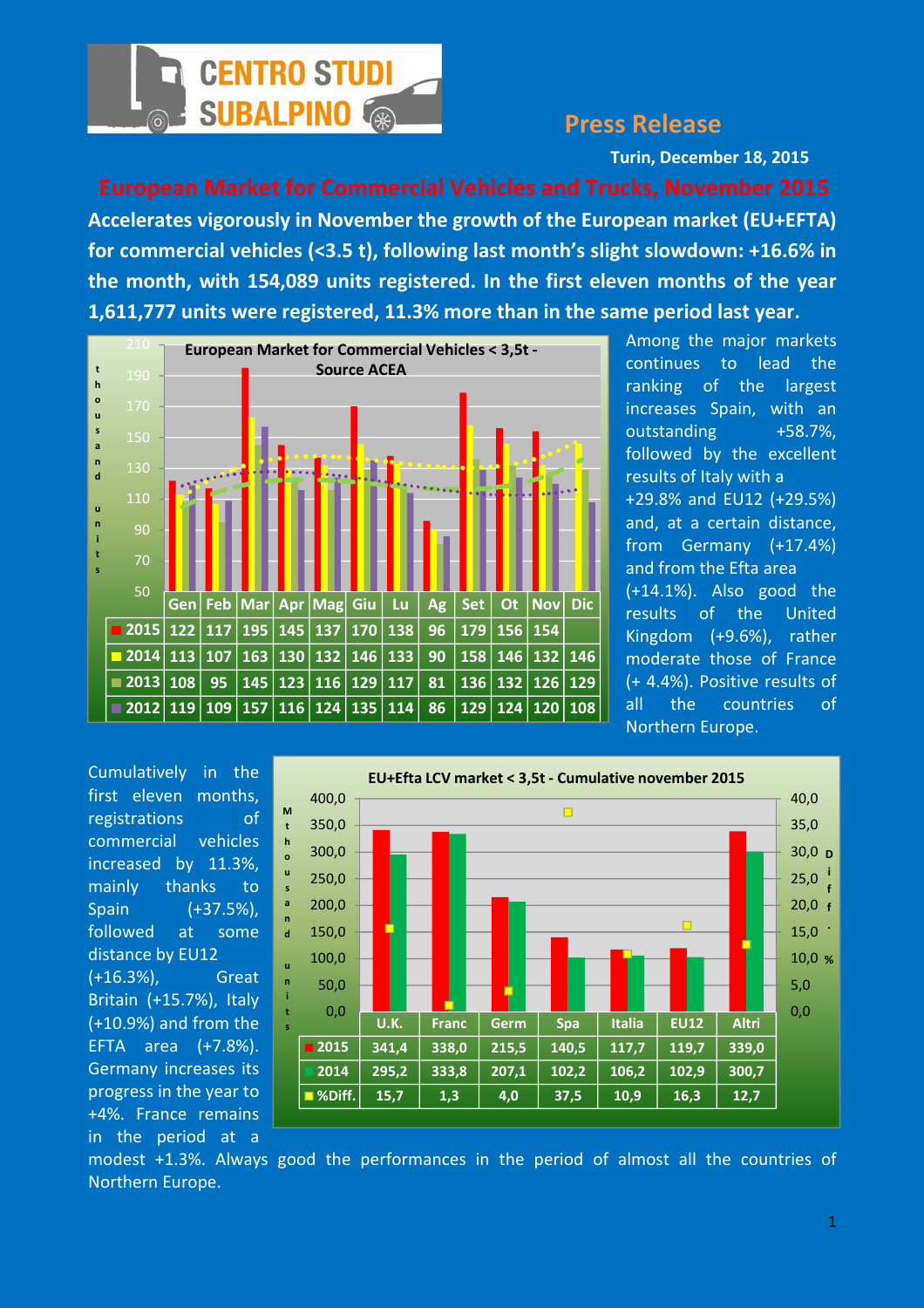

## Press Release

Turin, December 18, 2015

Accelerates vigorously in November the growth of the European market (EU+EFTA) for commercial vehicles (<3.5 t), following last month's slight slowdown: +16.6% in the month, with 154,089 units registered. In the first eleven months of the year 1,611,777 units were registered, 11.3% more than in the same period last year.



Among the major markets continues to lead the ranking of the largest increases Spain, with an outstanding +58.7%, followed by the excellent results of Italy with a +29.8% and EU12 (+29.5%) and, at a certain distance, from Germany (+17.4%) and from the Efta area (+14.1%). Also good the results of the United Kingdom (+9.6%), rather moderate those of France (+ 4.4%). Positive results of all the countries of Northern Europe.

Cumulatively in the first eleven months, registrations of commercial vehicles increased by 11.3%, mainly thanks to Spain (+37.5%), followed at some distance by EU12 (+16.3%), Great Britain (+15.7%), Italy (+10.9%) and from the EFTA area (+7.8%). Germany increases its progress in the year to +4%. France remains in the period at a



modest +1.3%. Always good the performances in the period of almost all the countries of Northern Europe.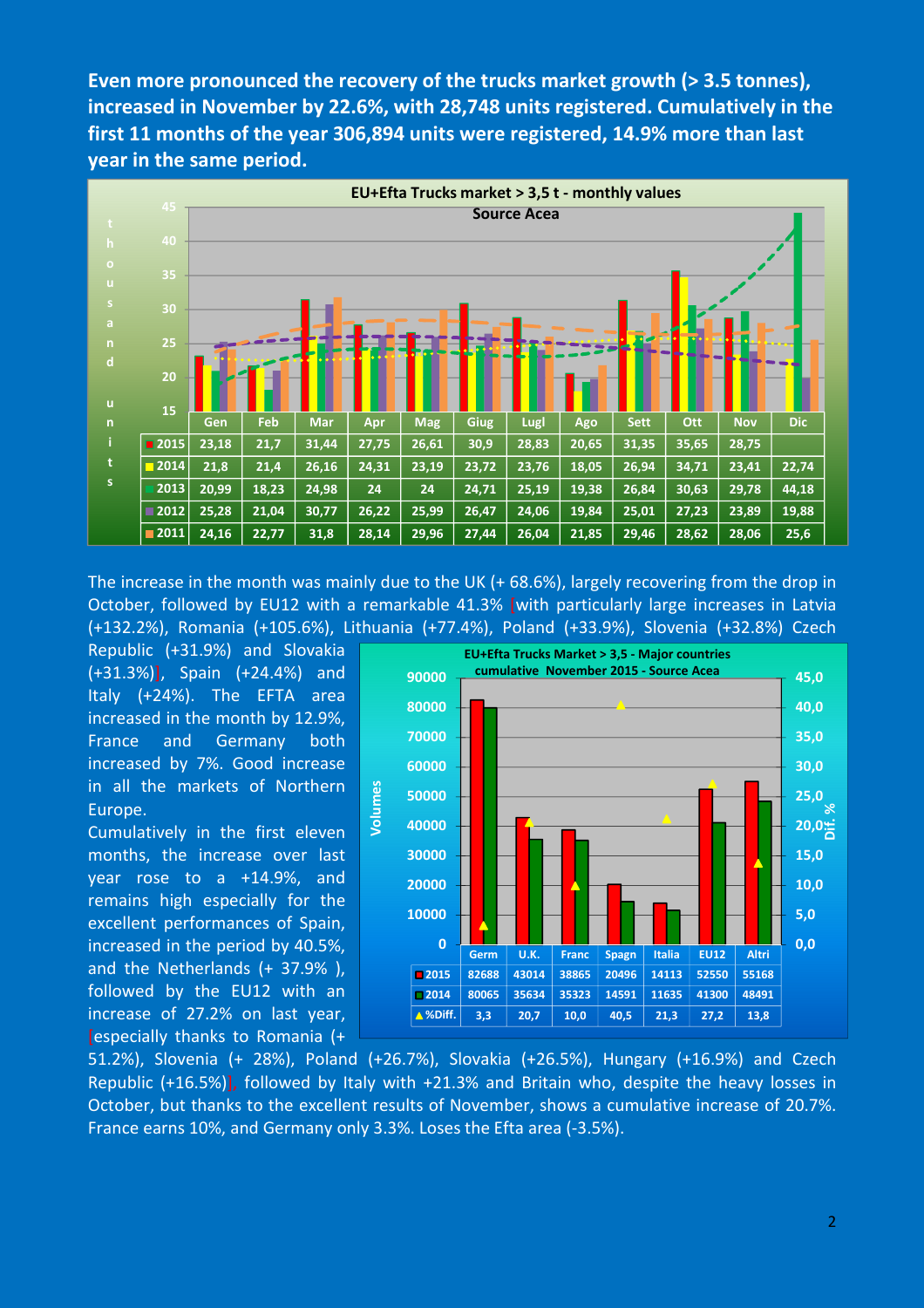Even more pronounced the recovery of the trucks market growth (> 3.5 tonnes), increased in November by 22.6%, with 28,748 units registered. Cumulatively in the first 11 months of the year 306,894 units were registered, 14.9% more than last year in the same period.



The increase in the month was mainly due to the UK (+ 68.6%), largely recovering from the drop in October, followed by EU12 with a remarkable 41.3% [with particularly large increases in Latvia (+132.2%), Romania (+105.6%), Lithuania (+77.4%), Poland (+33.9%), Slovenia (+32.8%) Czech

Republic (+31.9%) and Slovakia (+31.3%)], Spain (+24.4%) and Italy (+24%). The EFTA area increased in the month by 12.9%, France and Germany both increased by 7%. Good increase in all the markets of Northern Europe.

Cumulatively in the first eleven months, the increase over last year rose to a +14.9%, and remains high especially for the excellent performances of Spain, increased in the period by 40.5%, and the Netherlands (+ 37.9% ), followed by the EU12 with an increase of 27.2% on last year, [especially thanks to Romania (+



51.2%), Slovenia (+ 28%), Poland (+26.7%), Slovakia (+26.5%), Hungary (+16.9%) and Czech Republic (+16.5%)], followed by Italy with +21.3% and Britain who, despite the heavy losses in October, but thanks to the excellent results of November, shows a cumulative increase of 20.7%. France earns 10%, and Germany only 3.3%. Loses the Efta area (-3.5%).